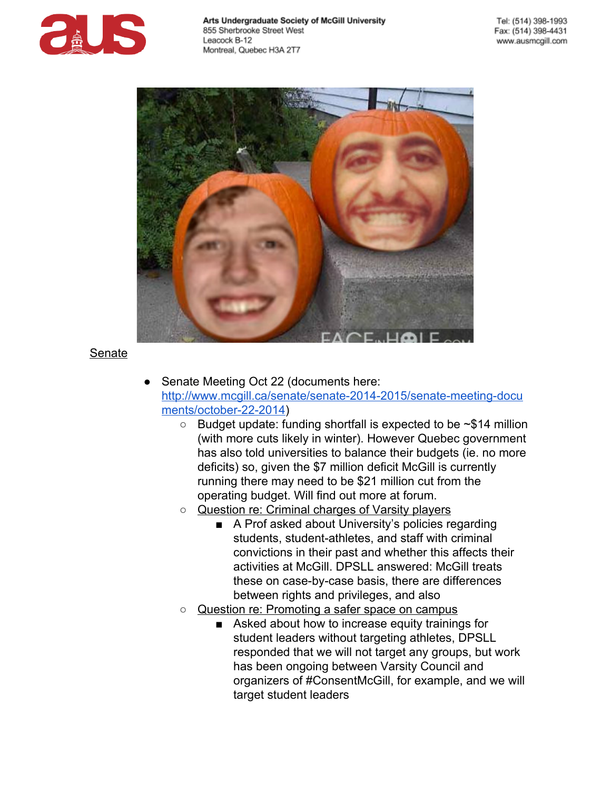



### Senate

- Senate Meeting Oct 22 (documents here: http://www.mcgill.ca/senate/senate-2014-2015/senate-meeting-docu ments/october-22-2014)
	- $\circ$  Budget update: funding shortfall is expected to be  $\sim$ \$14 million (with more cuts likely in winter). However Quebec government has also told universities to balance their budgets (ie. no more deficits) so, given the \$7 million deficit McGill is currently running there may need to be \$21 million cut from the operating budget. Will find out more at forum.
	- o Question re: Criminal charges of Varsity players
		- A Prof asked about University's policies regarding students, student-athletes, and staff with criminal convictions in their past and whether this affects their activities at McGill. DPSLL answered: McGill treats these on case-by-case basis, there are differences between rights and privileges, and also
	- Question re: Promoting a safer space on campus
		- Asked about how to increase equity trainings for student leaders without targeting athletes, DPSLL responded that we will not target any groups, but work has been ongoing between Varsity Council and organizers of #ConsentMcGill, for example, and we will target student leaders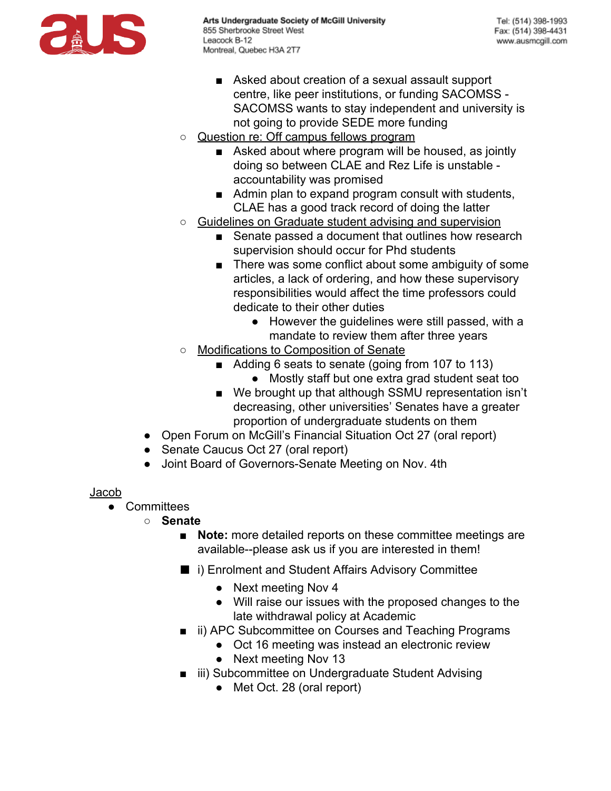

- Asked about creation of a sexual assault support centre, like peer institutions, or funding SACOMSS SACOMSS wants to stay independent and university is not going to provide SEDE more funding
- o Question re: Off campus fellows program
	- Asked about where program will be housed, as jointly doing so between CLAE and Rez Life is unstable accountability was promised
	- Admin plan to expand program consult with students, CLAE has a good track record of doing the latter
- Guidelines on Graduate student advising and supervision
	- Senate passed a document that outlines how research supervision should occur for Phd students
	- There was some conflict about some ambiguity of some articles, a lack of ordering, and how these supervisory responsibilities would affect the time professors could dedicate to their other duties
		- However the guidelines were still passed, with a mandate to review them after three years
- **Modifications to Composition of Senate** 
	- Adding 6 seats to senate (going from 107 to 113) ● Mostly staff but one extra grad student seat too
	- We brought up that although SSMU representation isn't decreasing, other universities' Senates have a greater proportion of undergraduate students on them
- Open Forum on McGill's Financial Situation Oct 27 (oral report)
- Senate Caucus Oct 27 (oral report)
- Joint Board of Governors-Senate Meeting on Nov. 4th

# Jacob

- Committees
	- **Senate**
		- **Note:** more detailed reports on these committee meetings are available--please ask us if you are interested in them!
		- i) Enrolment and Student Affairs Advisory Committee
			- Next meeting Nov 4
			- Will raise our issues with the proposed changes to the late withdrawal policy at Academic
		- ii) APC Subcommittee on Courses and Teaching Programs
			- Oct 16 meeting was instead an electronic review
			- Next meeting Nov 13
		- iii) Subcommittee on Undergraduate Student Advising
			- Met Oct. 28 (oral report)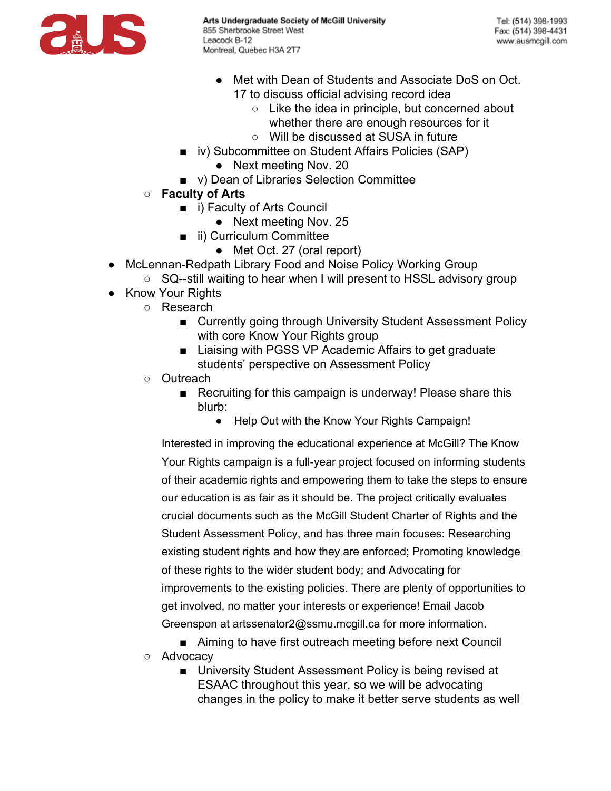

- Met with Dean of Students and Associate DoS on Oct. 17 to discuss official advising record idea
	- $\circ$  Like the idea in principle, but concerned about whether there are enough resources for it
	- Will be discussed at SUSA in future
- iv) Subcommittee on Student Affairs Policies (SAP)
	- Next meeting Nov. 20
- v) Dean of Libraries Selection Committee
- **Faculty of Arts**
	- i) Faculty of Arts Council
		- Next meeting Nov. 25
	- ii) Curriculum Committee
		- Met Oct. 27 (oral report)
- McLennan-Redpath Library Food and Noise Policy Working Group
	- SQ--still waiting to hear when I will present to HSSL advisory group
- Know Your Rights
	- Research
		- Currently going through University Student Assessment Policy with core Know Your Rights group
		- Liaising with PGSS VP Academic Affairs to get graduate students' perspective on Assessment Policy
		- Outreach
			- Recruiting for this campaign is underway! Please share this blurb:
				- Help Out with the Know Your Rights Campaign!

Interested in improving the educational experience at McGill? The Know Your Rights campaign is a full-year project focused on informing students of their academic rights and empowering them to take the steps to ensure our education is as fair as it should be. The project critically evaluates crucial documents such as the McGill Student Charter of Rights and the Student Assessment Policy, and has three main focuses: Researching existing student rights and how they are enforced; Promoting knowledge of these rights to the wider student body; and Advocating for improvements to the existing policies. There are plenty of opportunities to get involved, no matter your interests or experience! Email Jacob Greenspon at artssenator2@ssmu.mcgill.ca for more information.

■ Aiming to have first outreach meeting before next Council ○ Advocacy

■ University Student Assessment Policy is being revised at ESAAC throughout this year, so we will be advocating changes in the policy to make it better serve students as well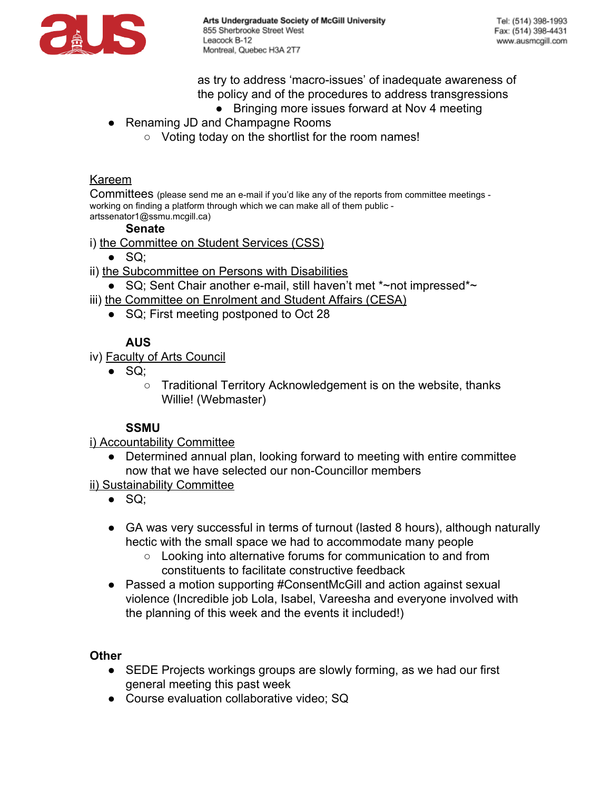

as try to address 'macro-issues' of inadequate awareness of the policy and of the procedures to address transgressions

- Bringing more issues forward at Nov 4 meeting
- Renaming JD and Champagne Rooms
	- Voting today on the shortlist for the room names!

### Kareem

Committees (please send me an e-mail if you'd like any of the reports from committee meetings working on finding a platform through which we can make all of them public artssenator1@ssmu.mcgill.ca)

### **Senate**

- i) the Committee on Student Services (CSS)
	- $\bullet$  SQ;
- ii) the Subcommittee on Persons with Disabilities
	- SQ; Sent Chair another e-mail, still haven't met  $*$ ~not impressed $*$ ~
- iii) the Committee on Enrolment and Student Affairs (CESA)
	- SQ; First meeting postponed to Oct 28

## **AUS**

- iv) Faculty of Arts Council
	- $\bullet$  SQ;
		- Traditional Territory Acknowledgement is on the website, thanks Willie! (Webmaster)

### **SSMU**

i) Accountability Committee

- Determined annual plan, looking forward to meeting with entire committee now that we have selected our non-Councillor members
- ii) Sustainability Committee
	- $\bullet$  SQ;
	- GA was very successful in terms of turnout (lasted 8 hours), although naturally hectic with the small space we had to accommodate many people
		- Looking into alternative forums for communication to and from constituents to facilitate constructive feedback
	- Passed a motion supporting #ConsentMcGill and action against sexual violence (Incredible job Lola, Isabel, Vareesha and everyone involved with the planning of this week and the events it included!)

### **Other**

- SEDE Projects workings groups are slowly forming, as we had our first general meeting this past week
- Course evaluation collaborative video: SQ